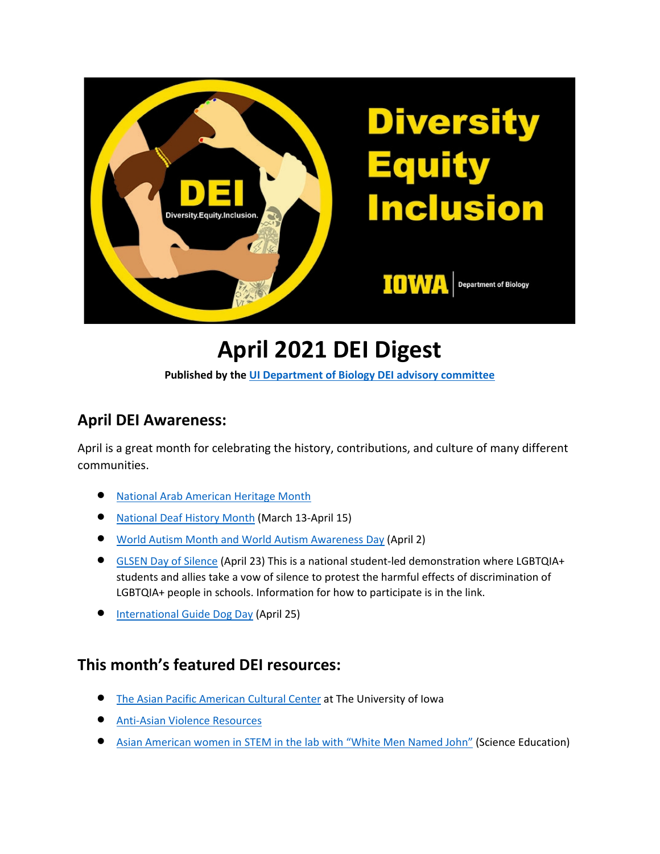

# **April 2021 DEI Digest**

**Published by the [UI Department of Biology DEI advisory committee](https://biology.uiowa.edu/about/diversity-equity-and-inclusion)**

## **April DEI Awareness:**

April is a great month for celebrating the history, contributions, and culture of many different communities.

- [National Arab American Heritage Month](https://www.insightintodiversity.com/national-arab-american-heritage-month/)
- [National Deaf History Month](https://www.insightintodiversity.com/national-deaf-history-month/) (March 13-April 15)
- [World Autism Month and World Autism Awareness Day](https://www.autismspeaks.org/world-autism-month-faq) (April 2)
- [GLSEN Day of Silence](https://www.glsen.org/day-of-silence) (April 23) This is a national student-led demonstration where LGBTQIA+ students and allies take a vow of silence to protest the harmful effects of discrimination of LGBTQIA+ people in schools. Information for how to participate is in the link.
- [International Guide Dog Day](https://www.guidedogsofamerica.org/international-guide-dog-day/) (April 25)

#### **This month's featured DEI resources:**

- [The Asian Pacific American Cultural Center](https://multicultural.uiowa.edu/culturalcenters/apacc/) at The University of Iowa
- [Anti-Asian Violence Resources](https://anti-asianviolenceresources.carrd.co/)
- [Asian American women in STEM in the lab with "White Men Named John"](https://onlinelibrary.wiley.com/doi/full/10.1002/sce.21598) (Science Education)